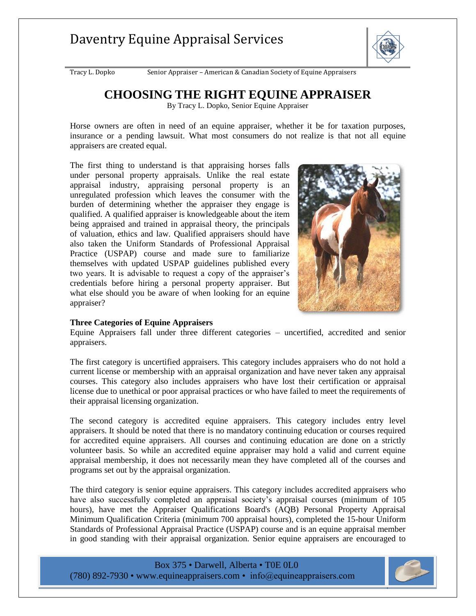

Tracy L. Dopko Senior Appraiser – American & Canadian Society of Equine Appraisers

### **CHOOSING THE RIGHT EQUINE APPRAISER**

By Tracy L. Dopko, Senior Equine Appraiser

Horse owners are often in need of an equine appraiser, whether it be for taxation purposes, insurance or a pending lawsuit. What most consumers do not realize is that not all equine appraisers are created equal.

The first thing to understand is that appraising horses falls under personal property appraisals. Unlike the real estate appraisal industry, appraising personal property is an unregulated profession which leaves the consumer with the burden of determining whether the appraiser they engage is qualified. A qualified appraiser is knowledgeable about the item being appraised and trained in appraisal theory, the principals of valuation, ethics and law. Qualified appraisers should have also taken the Uniform Standards of Professional Appraisal Practice (USPAP) course and made sure to familiarize themselves with updated USPAP guidelines published every two years. It is advisable to request a copy of the appraiser's credentials before hiring a personal property appraiser. But what else should you be aware of when looking for an equine appraiser?



#### **Three Categories of Equine Appraisers**

Equine Appraisers fall under three different categories – uncertified, accredited and senior appraisers.

The first category is uncertified appraisers. This category includes appraisers who do not hold a current license or membership with an appraisal organization and have never taken any appraisal courses. This category also includes appraisers who have lost their certification or appraisal license due to unethical or poor appraisal practices or who have failed to meet the requirements of their appraisal licensing organization.

The second category is accredited equine appraisers. This category includes entry level appraisers. It should be noted that there is no mandatory continuing education or courses required for accredited equine appraisers. All courses and continuing education are done on a strictly volunteer basis. So while an accredited equine appraiser may hold a valid and current equine appraisal membership, it does not necessarily mean they have completed all of the courses and programs set out by the appraisal organization.

The third category is senior equine appraisers. This category includes accredited appraisers who have also successfully completed an appraisal society's appraisal courses (minimum of 105 hours), have met the Appraiser Qualifications Board's (AQB) Personal Property Appraisal Minimum Qualification Criteria (minimum 700 appraisal hours), completed the 15-hour Uniform Standards of Professional Appraisal Practice (USPAP) course and is an equine appraisal member in good standing with their appraisal organization. Senior equine appraisers are encouraged to



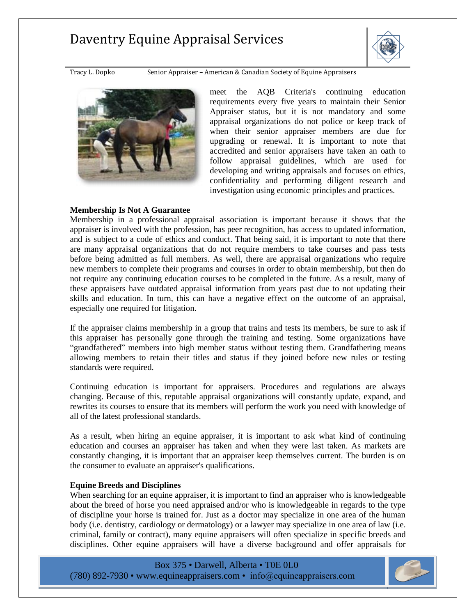

Tracy L. Dopko Senior Appraiser – American & Canadian Society of Equine Appraisers



meet the AQB Criteria's continuing education requirements every five years to maintain their Senior Appraiser status, but it is not mandatory and some appraisal organizations do not police or keep track of when their senior appraiser members are due for upgrading or renewal. It is important to note that accredited and senior appraisers have taken an oath to follow appraisal guidelines, which are used for developing and writing appraisals and focuses on ethics, confidentiality and performing diligent research and investigation using economic principles and practices.

#### **Membership Is Not A Guarantee**

Membership in a professional appraisal association is important because it shows that the appraiser is involved with the profession, has peer recognition, has access to updated information, and is subject to a code of ethics and conduct. That being said, it is important to note that there are many appraisal organizations that do not require members to take courses and pass tests before being admitted as full members. As well, there are appraisal organizations who require new members to complete their programs and courses in order to obtain membership, but then do not require any continuing education courses to be completed in the future. As a result, many of these appraisers have outdated appraisal information from years past due to not updating their skills and education. In turn, this can have a negative effect on the outcome of an appraisal, especially one required for litigation.

If the appraiser claims membership in a group that trains and tests its members, be sure to ask if this appraiser has personally gone through the training and testing. Some organizations have "grandfathered" members into high member status without testing them. Grandfathering means allowing members to retain their titles and status if they joined before new rules or testing standards were required.

Continuing education is important for appraisers. Procedures and regulations are always changing. Because of this, reputable appraisal organizations will constantly update, expand, and rewrites its courses to ensure that its members will perform the work you need with knowledge of all of the latest professional standards.

As a result, when hiring an equine appraiser, it is important to ask what kind of continuing education and courses an appraiser has taken and when they were last taken. As markets are constantly changing, it is important that an appraiser keep themselves current. The burden is on the consumer to evaluate an appraiser's qualifications.

### **Equine Breeds and Disciplines**

When searching for an equine appraiser, it is important to find an appraiser who is knowledgeable about the breed of horse you need appraised and/or who is knowledgeable in regards to the type of discipline your horse is trained for. Just as a doctor may specialize in one area of the human body (i.e. dentistry, cardiology or dermatology) or a lawyer may specialize in one area of law (i.e. criminal, family or contract), many equine appraisers will often specialize in specific breeds and disciplines. Other equine appraisers will have a diverse background and offer appraisals for

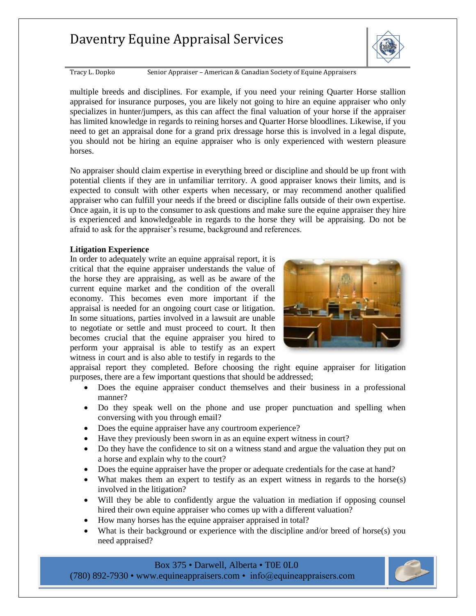

Tracy L. Dopko Senior Appraiser – American & Canadian Society of Equine Appraisers

multiple breeds and disciplines. For example, if you need your reining Quarter Horse stallion appraised for insurance purposes, you are likely not going to hire an equine appraiser who only specializes in hunter/jumpers, as this can affect the final valuation of your horse if the appraiser has limited knowledge in regards to reining horses and Quarter Horse bloodlines. Likewise, if you need to get an appraisal done for a grand prix dressage horse this is involved in a legal dispute, you should not be hiring an equine appraiser who is only experienced with western pleasure horses.

No appraiser should claim expertise in everything breed or discipline and should be up front with potential clients if they are in unfamiliar territory. A good appraiser knows their limits, and is expected to consult with other experts when necessary, or may recommend another qualified appraiser who can fulfill your needs if the breed or discipline falls outside of their own expertise. Once again, it is up to the consumer to ask questions and make sure the equine appraiser they hire is experienced and knowledgeable in regards to the horse they will be appraising. Do not be afraid to ask for the appraiser's resume, background and references.

#### **Litigation Experience**

In order to adequately write an equine appraisal report, it is critical that the equine appraiser understands the value of the horse they are appraising, as well as be aware of the current equine market and the condition of the overall economy. This becomes even more important if the appraisal is needed for an ongoing court case or litigation. In some situations, parties involved in a lawsuit are unable to negotiate or settle and must proceed to court. It then becomes crucial that the equine appraiser you hired to perform your appraisal is able to testify as an expert witness in court and is also able to testify in regards to the



appraisal report they completed. Before choosing the right equine appraiser for litigation purposes, there are a few important questions that should be addressed;

- Does the equine appraiser conduct themselves and their business in a professional manner?
- Do they speak well on the phone and use proper punctuation and spelling when conversing with you through email?
- Does the equine appraiser have any courtroom experience?
- Have they previously been sworn in as an equine expert witness in court?
- Do they have the confidence to sit on a witness stand and argue the valuation they put on a horse and explain why to the court?
- Does the equine appraiser have the proper or adequate credentials for the case at hand?
- What makes them an expert to testify as an expert witness in regards to the horse(s) involved in the litigation?
- Will they be able to confidently argue the valuation in mediation if opposing counsel hired their own equine appraiser who comes up with a different valuation?
- How many horses has the equine appraiser appraised in total?
- What is their background or experience with the discipline and/or breed of horse(s) you need appraised?

### Box 375 • Darwell, Alberta • T0E 0L0

(780) 892-7930 • [www.equineappraisers.com](http://www.equineappraisers.com/) • info@equineappraisers.com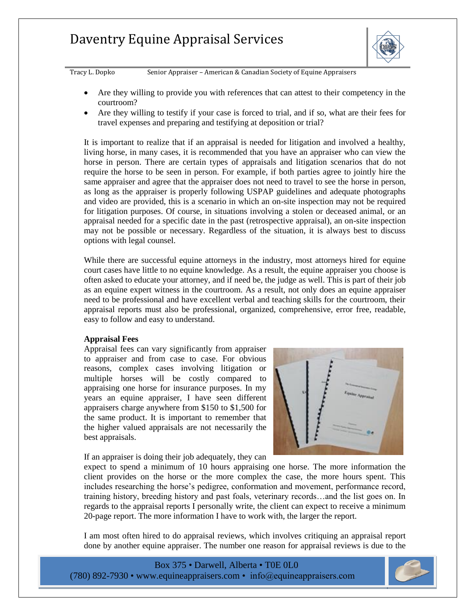

Tracy L. Dopko Senior Appraiser – American & Canadian Society of Equine Appraisers

- Are they willing to provide you with references that can attest to their competency in the courtroom?
- Are they willing to testify if your case is forced to trial, and if so, what are their fees for travel expenses and preparing and testifying at deposition or trial?

It is important to realize that if an appraisal is needed for litigation and involved a healthy, living horse, in many cases, it is recommended that you have an appraiser who can view the horse in person. There are certain types of appraisals and litigation scenarios that do not require the horse to be seen in person. For example, if both parties agree to jointly hire the same appraiser and agree that the appraiser does not need to travel to see the horse in person, as long as the appraiser is properly following USPAP guidelines and adequate photographs and video are provided, this is a scenario in which an on-site inspection may not be required for litigation purposes. Of course, in situations involving a stolen or deceased animal, or an appraisal needed for a specific date in the past (retrospective appraisal), an on-site inspection may not be possible or necessary. Regardless of the situation, it is always best to discuss options with legal counsel.

While there are successful equine attorneys in the industry, most attorneys hired for equine court cases have little to no equine knowledge. As a result, the equine appraiser you choose is often asked to educate your attorney, and if need be, the judge as well. This is part of their job as an equine expert witness in the courtroom. As a result, not only does an equine appraiser need to be professional and have excellent verbal and teaching skills for the courtroom, their appraisal reports must also be professional, organized, comprehensive, error free, readable, easy to follow and easy to understand.

#### **Appraisal Fees**

Appraisal fees can vary significantly from appraiser to appraiser and from case to case. For obvious reasons, complex cases involving litigation or multiple horses will be costly compared to appraising one horse for insurance purposes. In my years an equine appraiser, I have seen different appraisers charge anywhere from \$150 to \$1,500 for the same product. It is important to remember that the higher valued appraisals are not necessarily the best appraisals.

If an appraiser is doing their job adequately, they can



expect to spend a minimum of 10 hours appraising one horse. The more information the client provides on the horse or the more complex the case, the more hours spent. This includes researching the horse's pedigree, conformation and movement, performance record, training history, breeding history and past foals, veterinary records…and the list goes on. In regards to the appraisal reports I personally write, the client can expect to receive a minimum 20-page report. The more information I have to work with, the larger the report.

I am most often hired to do appraisal reviews, which involves critiquing an appraisal report done by another equine appraiser. The number one reason for appraisal reviews is due to the

Box 375 • Darwell, Alberta • T0E 0L0 (780) 892-7930 • [www.equineappraisers.com](http://www.equineappraisers.com/) • info@equineappraisers.com